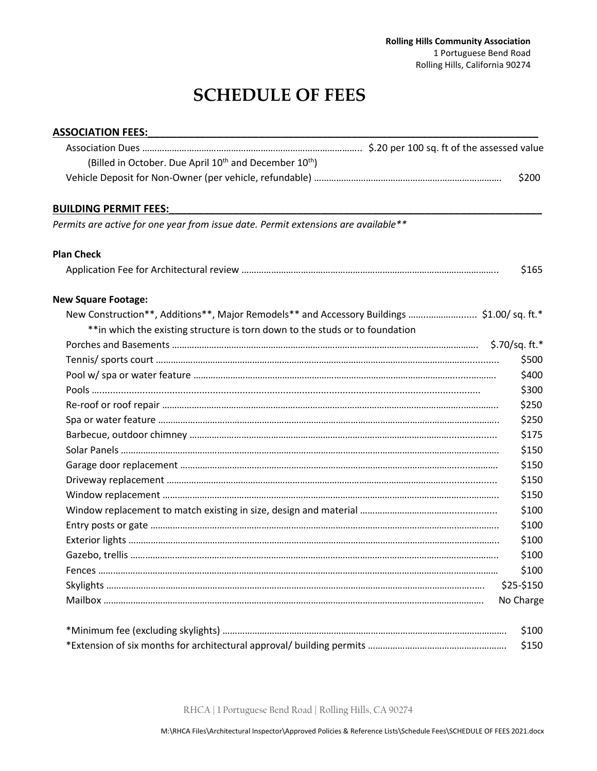## **SCHEDULE OF FEES**

| <b>ASSOCIATION FEES:</b>                                                                  |            |
|-------------------------------------------------------------------------------------------|------------|
|                                                                                           |            |
| (Billed in October. Due April 10 <sup>th</sup> and December 10 <sup>th</sup> )            |            |
|                                                                                           | \$200      |
| <b>BUILDING PERMIT FEES:</b>                                                              |            |
| Permits are active for one year from issue date. Permit extensions are available**        |            |
| <b>Plan Check</b>                                                                         |            |
|                                                                                           | \$165      |
| <b>New Square Footage:</b>                                                                |            |
| New Construction**, Additions**, Major Remodels** and Accessory Buildings  \$1.00/sq.ft.* |            |
| ** in which the existing structure is torn down to the studs or to foundation             |            |
|                                                                                           |            |
|                                                                                           | \$500      |
|                                                                                           | \$400      |
|                                                                                           | \$300      |
|                                                                                           | \$250      |
|                                                                                           | \$250      |
|                                                                                           | \$175      |
|                                                                                           | \$150      |
|                                                                                           | \$150      |
|                                                                                           | \$150      |
|                                                                                           | \$150      |
|                                                                                           | \$100      |
|                                                                                           | \$100      |
|                                                                                           | \$100      |
|                                                                                           | \$100      |
|                                                                                           | \$100      |
|                                                                                           | \$25-\$150 |
|                                                                                           | No Charge  |
|                                                                                           | \$100      |
|                                                                                           | \$150      |

RHCA | 1 Portuguese Bend Road | Rolling Hills, CA 90274